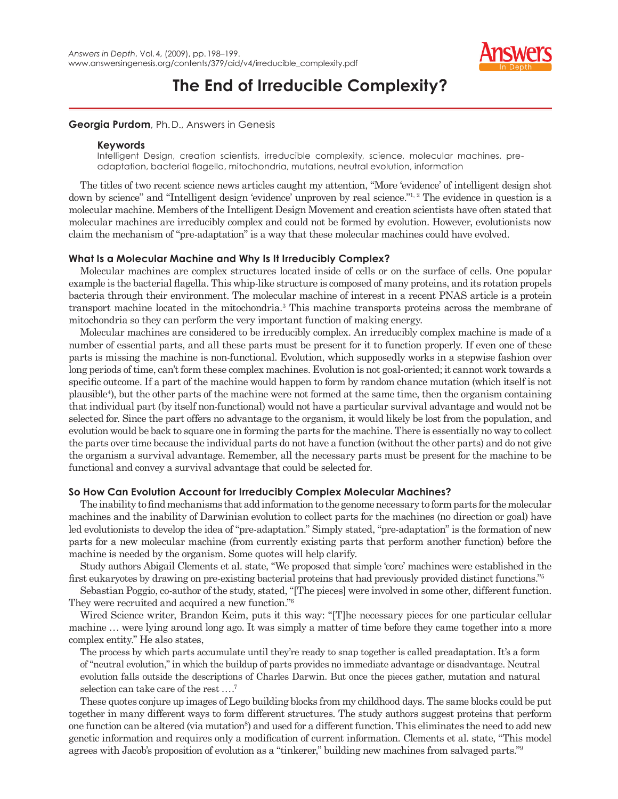

# **The End of Irreducible Complexity?**

# **Georgia Purdom**, Ph. D., Answers in Genesis

### **Keywords**

Intelligent Design, creation scientists, irreducible complexity, science, molecular machines, preadaptation, bacterial flagella, mitochondria, mutations, neutral evolution, information

The titles of two recent science news articles caught my attention, "More 'evidence' of intelligent design shot down by science" and "Intelligent design 'evidence' unproven by real science."<sup>1, 2</sup> The evidence in question is a molecular machine. Members of the Intelligent Design Movement and creation scientists have often stated that molecular machines are irreducibly complex and could not be formed by evolution. However, evolutionists now claim the mechanism of "pre-adaptation" is a way that these molecular machines could have evolved.

# **What Is a Molecular Machine and Why Is It Irreducibly Complex?**

Molecular machines are complex structures located inside of cells or on the surface of cells. One popular example is the bacterial flagella. This whip-like structure is composed of many proteins, and its rotation propels bacteria through their environment. The molecular machine of interest in a recent PNAS article is a protein transport machine located in the mitochondria.3 This machine transports proteins across the membrane of mitochondria so they can perform the very important function of making energy.

Molecular machines are considered to be irreducibly complex. An irreducibly complex machine is made of a number of essential parts, and all these parts must be present for it to function properly. If even one of these parts is missing the machine is non-functional. Evolution, which supposedly works in a stepwise fashion over long periods of time, can't form these complex machines. Evolution is not goal-oriented; it cannot work towards a specific outcome. If a part of the machine would happen to form by random chance mutation (which itself is not plausible4 ), but the other parts of the machine were not formed at the same time, then the organism containing that individual part (by itself non-functional) would not have a particular survival advantage and would not be selected for. Since the part offers no advantage to the organism, it would likely be lost from the population, and evolution would be back to square one in forming the parts for the machine. There is essentially no way to collect the parts over time because the individual parts do not have a function (without the other parts) and do not give the organism a survival advantage. Remember, all the necessary parts must be present for the machine to be functional and convey a survival advantage that could be selected for.

# **So How Can Evolution Account for Irreducibly Complex Molecular Machines?**

The inability to find mechanisms that add information to the genome necessary to form parts for the molecular machines and the inability of Darwinian evolution to collect parts for the machines (no direction or goal) have led evolutionists to develop the idea of "pre-adaptation." Simply stated, "pre-adaptation" is the formation of new parts for a new molecular machine (from currently existing parts that perform another function) before the machine is needed by the organism. Some quotes will help clarify.

Study authors Abigail Clements et al. state, "We proposed that simple 'core' machines were established in the first eukaryotes by drawing on pre-existing bacterial proteins that had previously provided distinct functions."<sup>5</sup>

Sebastian Poggio, co-author of the study, stated, "[The pieces] were involved in some other, different function. They were recruited and acquired a new function."6

Wired Science writer, Brandon Keim, puts it this way: "[T]he necessary pieces for one particular cellular machine ... were lying around long ago. It was simply a matter of time before they came together into a more complex entity." He also states,

The process by which parts accumulate until they're ready to snap together is called preadaptation. It's a form of "neutral evolution," in which the buildup of parts provides no immediate advantage or disadvantage. Neutral evolution falls outside the descriptions of Charles Darwin. But once the pieces gather, mutation and natural selection can take care of the rest ....<sup>7</sup>

These quotes conjure up images of Lego building blocks from my childhood days. The same blocks could be put together in many different ways to form different structures. The study authors suggest proteins that perform one function can be altered (via mutation<sup>8</sup>) and used for a different function. This eliminates the need to add new genetic information and requires only a modification of current information. Clements et al. state, "This model agrees with Jacob's proposition of evolution as a "tinkerer," building new machines from salvaged parts."9